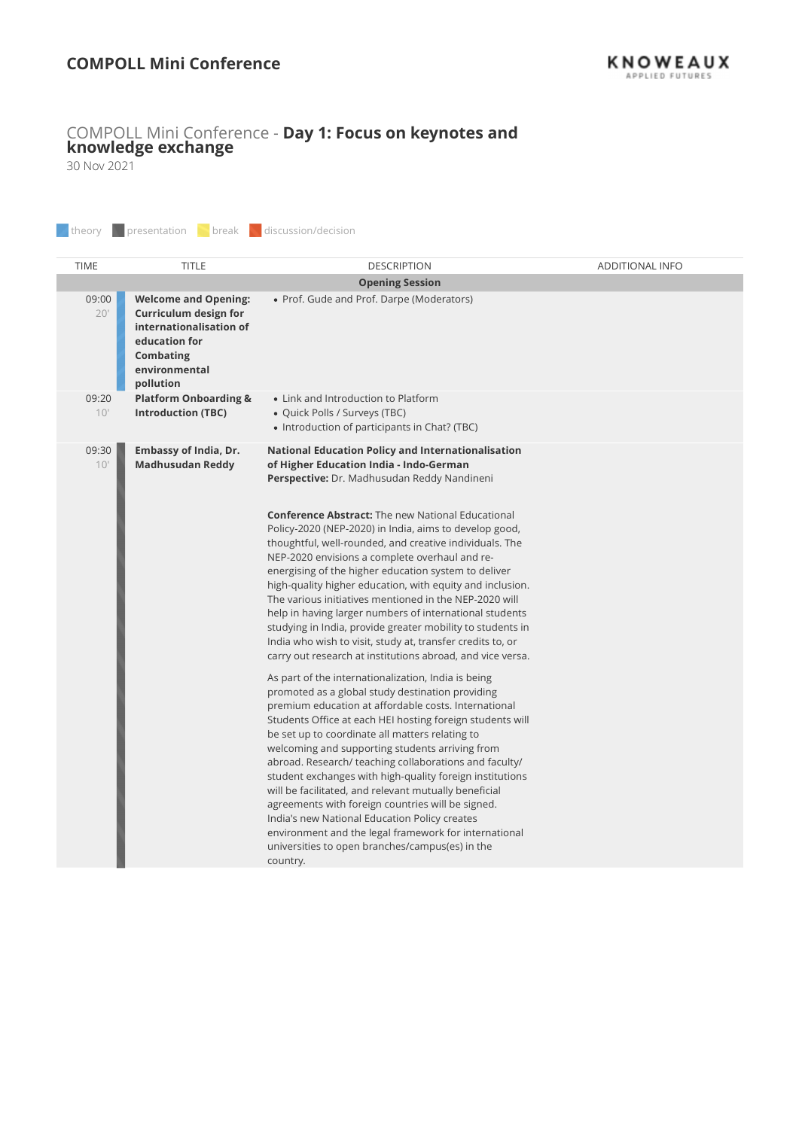## COMPOLL Mini Conference - Day 1: Focus on keynotes and knowledge exchange

|                          | <b>COMPOLL Mini Conference</b>                                                                                                              |                                                                                                                                                                                                                                                                                                                                                                                                                                                                                                                                                                                                                                                                                                                                                                                                                                                                                                                                                                                                                                                                                                                                                                                                                                                                                                                                                                                                                                                                                                                                                                               | <b>KNOWEAUX</b> |
|--------------------------|---------------------------------------------------------------------------------------------------------------------------------------------|-------------------------------------------------------------------------------------------------------------------------------------------------------------------------------------------------------------------------------------------------------------------------------------------------------------------------------------------------------------------------------------------------------------------------------------------------------------------------------------------------------------------------------------------------------------------------------------------------------------------------------------------------------------------------------------------------------------------------------------------------------------------------------------------------------------------------------------------------------------------------------------------------------------------------------------------------------------------------------------------------------------------------------------------------------------------------------------------------------------------------------------------------------------------------------------------------------------------------------------------------------------------------------------------------------------------------------------------------------------------------------------------------------------------------------------------------------------------------------------------------------------------------------------------------------------------------------|-----------------|
| 30 Nov 2021<br>theory    | presentation break discussion/decision                                                                                                      | COMPOLL Mini Conference - Day 1: Focus on keynotes and knowledge exchange                                                                                                                                                                                                                                                                                                                                                                                                                                                                                                                                                                                                                                                                                                                                                                                                                                                                                                                                                                                                                                                                                                                                                                                                                                                                                                                                                                                                                                                                                                     |                 |
|                          | <b>TITLE</b>                                                                                                                                |                                                                                                                                                                                                                                                                                                                                                                                                                                                                                                                                                                                                                                                                                                                                                                                                                                                                                                                                                                                                                                                                                                                                                                                                                                                                                                                                                                                                                                                                                                                                                                               |                 |
| <b>TIME</b>              |                                                                                                                                             | <b>DESCRIPTION</b><br><b>Opening Session</b>                                                                                                                                                                                                                                                                                                                                                                                                                                                                                                                                                                                                                                                                                                                                                                                                                                                                                                                                                                                                                                                                                                                                                                                                                                                                                                                                                                                                                                                                                                                                  | ADDITIONAL INFO |
| 09:00<br>20 <sup>1</sup> | <b>Welcome and Opening:</b><br>Curriculum design for<br>internationalisation of<br>education for<br>Combating<br>environmental<br>pollution | • Prof. Gude and Prof. Darpe (Moderators)                                                                                                                                                                                                                                                                                                                                                                                                                                                                                                                                                                                                                                                                                                                                                                                                                                                                                                                                                                                                                                                                                                                                                                                                                                                                                                                                                                                                                                                                                                                                     |                 |
| 09:20<br>10'             | <b>Platform Onboarding &amp;</b><br><b>Introduction (TBC)</b>                                                                               | • Link and Introduction to Platform<br>· Quick Polls / Surveys (TBC)<br>• Introduction of participants in Chat? (TBC)                                                                                                                                                                                                                                                                                                                                                                                                                                                                                                                                                                                                                                                                                                                                                                                                                                                                                                                                                                                                                                                                                                                                                                                                                                                                                                                                                                                                                                                         |                 |
| 09:30<br>10 <sup>1</sup> | Embassy of India, Dr.<br><b>Madhusudan Reddy</b>                                                                                            | <b>National Education Policy and Internationalisation</b><br>of Higher Education India - Indo-German<br>Perspective: Dr. Madhusudan Reddy Nandineni<br><b>Conference Abstract:</b> The new National Educational<br>Policy-2020 (NEP-2020) in India, aims to develop good,<br>thoughtful, well-rounded, and creative individuals. The<br>NEP-2020 envisions a complete overhaul and re-<br>energising of the higher education system to deliver<br>high-quality higher education, with equity and inclusion.<br>The various initiatives mentioned in the NEP-2020 will<br>help in having larger numbers of international students<br>studying in India, provide greater mobility to students in<br>India who wish to visit, study at, transfer credits to, or<br>carry out research at institutions abroad, and vice versa.<br>As part of the internationalization, India is being<br>promoted as a global study destination providing<br>premium education at affordable costs. International<br>Students Office at each HEI hosting foreign students will<br>be set up to coordinate all matters relating to<br>welcoming and supporting students arriving from<br>abroad. Research/ teaching collaborations and faculty/<br>student exchanges with high-quality foreign institutions<br>will be facilitated, and relevant mutually beneficial<br>agreements with foreign countries will be signed.<br>India's new National Education Policy creates<br>environment and the legal framework for international<br>universities to open branches/campus(es) in the<br>country. |                 |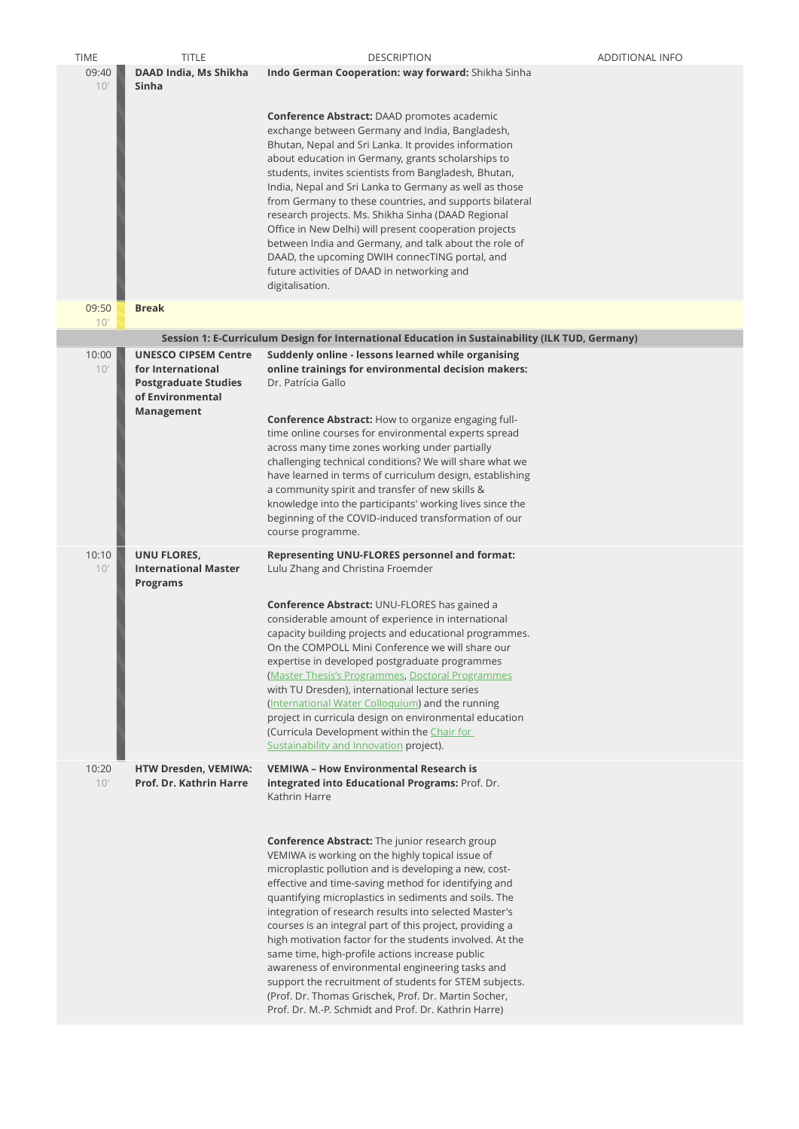| <b>TIME</b><br>09:40 | <b>TITLE</b><br>DAAD India, Ms Shikha                                                                             | <b>DESCRIPTION</b><br>Indo German Cooperation: way forward: Shikha Sinha                                                                                                                                                                                                                                                                                                                                                                                                                                                                                                                                                                                                                                               | ADDITIONAL INFO |
|----------------------|-------------------------------------------------------------------------------------------------------------------|------------------------------------------------------------------------------------------------------------------------------------------------------------------------------------------------------------------------------------------------------------------------------------------------------------------------------------------------------------------------------------------------------------------------------------------------------------------------------------------------------------------------------------------------------------------------------------------------------------------------------------------------------------------------------------------------------------------------|-----------------|
| 10'                  | Sinha                                                                                                             | Conference Abstract: DAAD promotes academic<br>exchange between Germany and India, Bangladesh,<br>Bhutan, Nepal and Sri Lanka. It provides information<br>about education in Germany, grants scholarships to<br>students, invites scientists from Bangladesh, Bhutan,<br>India, Nepal and Sri Lanka to Germany as well as those<br>from Germany to these countries, and supports bilateral<br>research projects. Ms. Shikha Sinha (DAAD Regional<br>Office in New Delhi) will present cooperation projects<br>between India and Germany, and talk about the role of<br>DAAD, the upcoming DWIH connecTING portal, and<br>future activities of DAAD in networking and<br>digitalisation.                                |                 |
| 09:50                | <b>Break</b>                                                                                                      |                                                                                                                                                                                                                                                                                                                                                                                                                                                                                                                                                                                                                                                                                                                        |                 |
| 10'                  |                                                                                                                   |                                                                                                                                                                                                                                                                                                                                                                                                                                                                                                                                                                                                                                                                                                                        |                 |
| 10:00<br>10'         | <b>UNESCO CIPSEM Centre</b><br>for International<br><b>Postgraduate Studies</b><br>of Environmental<br>Management | Session 1: E-Curriculum Design for International Education in Sustainability (ILK TUD, Germany)<br>Suddenly online - lessons learned while organising<br>online trainings for environmental decision makers:<br>Dr. Patrícia Gallo<br>Conference Abstract: How to organize engaging full-<br>time online courses for environmental experts spread<br>across many time zones working under partially<br>challenging technical conditions? We will share what we<br>have learned in terms of curriculum design, establishing<br>a community spirit and transfer of new skills &<br>knowledge into the participants' working lives since the<br>beginning of the COVID-induced transformation of our<br>course programme. |                 |
| 10:10<br>10'         | UNU FLORES,<br><b>International Master</b><br><b>Programs</b>                                                     | Representing UNU-FLORES personnel and format:<br>Lulu Zhang and Christina Froemder<br><b>Conference Abstract: UNU-FLORES has gained a</b><br>considerable amount of experience in international<br>capacity building projects and educational programmes.<br>On the COMPOLL Mini Conference we will share our<br>expertise in developed postgraduate programmes<br>(Master Thesis's Programmes, Doctoral Programmes<br>with TU Dresden), international lecture series<br>(International Water Colloquium) and the running<br>project in curricula design on environmental education<br>(Curricula Development within the Chair for<br>Sustainability and Innovation project).                                          |                 |
| 10:20<br>10'         | HTW Dresden, VEMIWA:<br>Prof. Dr. Kathrin Harre                                                                   | <b>VEMIWA - How Environmental Research is</b><br>integrated into Educational Programs: Prof. Dr.<br>Kathrin Harre<br><b>Conference Abstract:</b> The junior research group<br>VEMIWA is working on the highly topical issue of<br>microplastic pollution and is developing a new, cost-<br>effective and time-saving method for identifying and                                                                                                                                                                                                                                                                                                                                                                        |                 |
|                      |                                                                                                                   | quantifying microplastics in sediments and soils. The<br>integration of research results into selected Master's<br>courses is an integral part of this project, providing a<br>high motivation factor for the students involved. At the<br>same time, high-profile actions increase public<br>awareness of environmental engineering tasks and<br>support the recruitment of students for STEM subjects.<br>(Prof. Dr. Thomas Grischek, Prof. Dr. Martin Socher,<br>Prof. Dr. M.-P. Schmidt and Prof. Dr. Kathrin Harre)                                                                                                                                                                                               |                 |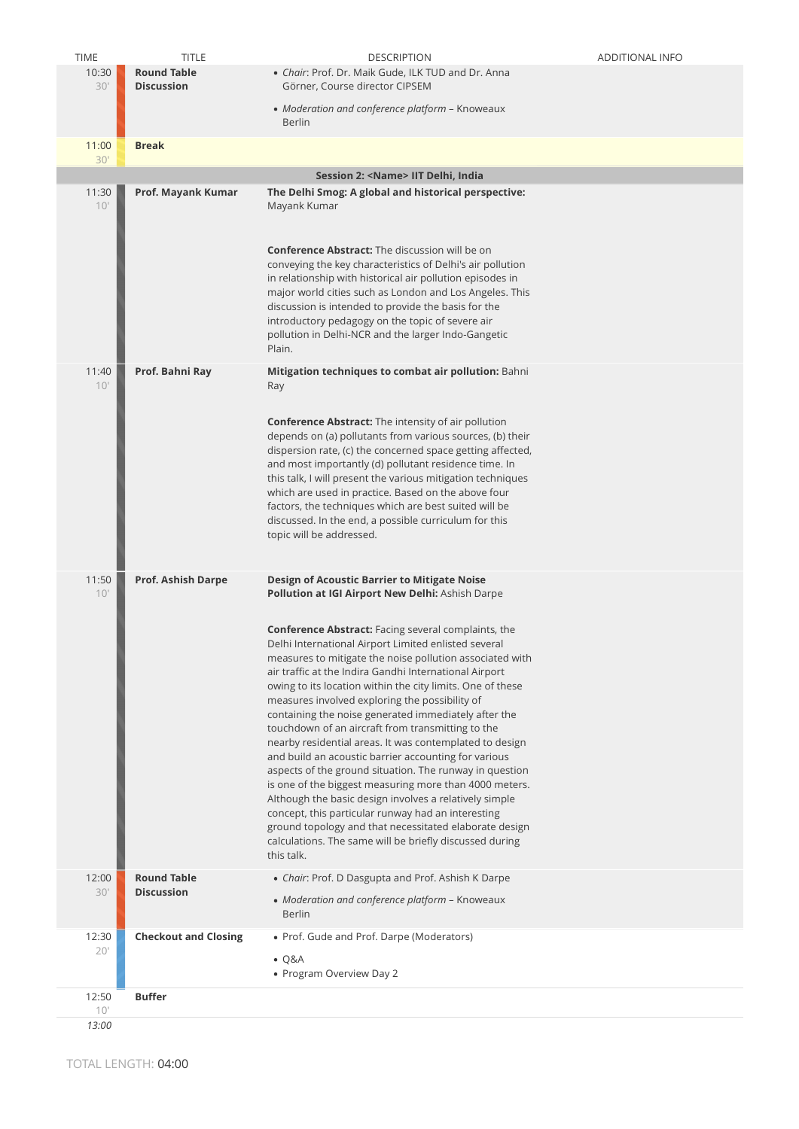| <b>TIME</b>  | <b>TITLE</b>                            | <b>DESCRIPTION</b>                                                                                                                                                                                                                                                                                                                                                                                                                                                                                                                                                                                                                                                                                                                                                                                                                                                                                                                                               | <b>ADDITIONAL INFO</b> |
|--------------|-----------------------------------------|------------------------------------------------------------------------------------------------------------------------------------------------------------------------------------------------------------------------------------------------------------------------------------------------------------------------------------------------------------------------------------------------------------------------------------------------------------------------------------------------------------------------------------------------------------------------------------------------------------------------------------------------------------------------------------------------------------------------------------------------------------------------------------------------------------------------------------------------------------------------------------------------------------------------------------------------------------------|------------------------|
| 10:30<br>30' | <b>Round Table</b><br><b>Discussion</b> | • Chair: Prof. Dr. Maik Gude, ILK TUD and Dr. Anna<br>Görner, Course director CIPSEM<br>• Moderation and conference platform - Knoweaux<br>Berlin                                                                                                                                                                                                                                                                                                                                                                                                                                                                                                                                                                                                                                                                                                                                                                                                                |                        |
| 11:00<br>30' | <b>Break</b>                            |                                                                                                                                                                                                                                                                                                                                                                                                                                                                                                                                                                                                                                                                                                                                                                                                                                                                                                                                                                  |                        |
|              |                                         | Session 2: < Name> IIT Delhi, India                                                                                                                                                                                                                                                                                                                                                                                                                                                                                                                                                                                                                                                                                                                                                                                                                                                                                                                              |                        |
| 11:30<br>10' | Prof. Mayank Kumar                      | The Delhi Smog: A global and historical perspective:<br>Mayank Kumar                                                                                                                                                                                                                                                                                                                                                                                                                                                                                                                                                                                                                                                                                                                                                                                                                                                                                             |                        |
|              |                                         | <b>Conference Abstract:</b> The discussion will be on<br>conveying the key characteristics of Delhi's air pollution<br>in relationship with historical air pollution episodes in<br>major world cities such as London and Los Angeles. This<br>discussion is intended to provide the basis for the<br>introductory pedagogy on the topic of severe air<br>pollution in Delhi-NCR and the larger Indo-Gangetic                                                                                                                                                                                                                                                                                                                                                                                                                                                                                                                                                    |                        |
| 11:40        | Prof. Bahni Ray                         | Plain.<br>Mitigation techniques to combat air pollution: Bahni                                                                                                                                                                                                                                                                                                                                                                                                                                                                                                                                                                                                                                                                                                                                                                                                                                                                                                   |                        |
| 10'          |                                         | Ray<br><b>Conference Abstract:</b> The intensity of air pollution<br>depends on (a) pollutants from various sources, (b) their<br>dispersion rate, (c) the concerned space getting affected,<br>and most importantly (d) pollutant residence time. In<br>this talk, I will present the various mitigation techniques<br>which are used in practice. Based on the above four<br>factors, the techniques which are best suited will be<br>discussed. In the end, a possible curriculum for this<br>topic will be addressed.                                                                                                                                                                                                                                                                                                                                                                                                                                        |                        |
| 11:50<br>10' | Prof. Ashish Darpe                      | Design of Acoustic Barrier to Mitigate Noise<br>Pollution at IGI Airport New Delhi: Ashish Darpe                                                                                                                                                                                                                                                                                                                                                                                                                                                                                                                                                                                                                                                                                                                                                                                                                                                                 |                        |
|              |                                         | <b>Conference Abstract:</b> Facing several complaints, the<br>Delhi International Airport Limited enlisted several<br>measures to mitigate the noise pollution associated with<br>air traffic at the Indira Gandhi International Airport<br>owing to its location within the city limits. One of these<br>measures involved exploring the possibility of<br>containing the noise generated immediately after the<br>touchdown of an aircraft from transmitting to the<br>nearby residential areas. It was contemplated to design<br>and build an acoustic barrier accounting for various<br>aspects of the ground situation. The runway in question<br>is one of the biggest measuring more than 4000 meters.<br>Although the basic design involves a relatively simple<br>concept, this particular runway had an interesting<br>ground topology and that necessitated elaborate design<br>calculations. The same will be briefly discussed during<br>this talk. |                        |
| 12:00<br>30' | <b>Round Table</b><br><b>Discussion</b> | • Chair: Prof. D Dasgupta and Prof. Ashish K Darpe<br>• Moderation and conference platform - Knoweaux<br><b>Berlin</b>                                                                                                                                                                                                                                                                                                                                                                                                                                                                                                                                                                                                                                                                                                                                                                                                                                           |                        |
| 12:30<br>20' | <b>Checkout and Closing</b>             | • Prof. Gude and Prof. Darpe (Moderators)<br>$\bullet$ Q&A<br>• Program Overview Day 2                                                                                                                                                                                                                                                                                                                                                                                                                                                                                                                                                                                                                                                                                                                                                                                                                                                                           |                        |
| 12:50<br>10' | <b>Buffer</b>                           |                                                                                                                                                                                                                                                                                                                                                                                                                                                                                                                                                                                                                                                                                                                                                                                                                                                                                                                                                                  |                        |
| 13:00        |                                         |                                                                                                                                                                                                                                                                                                                                                                                                                                                                                                                                                                                                                                                                                                                                                                                                                                                                                                                                                                  |                        |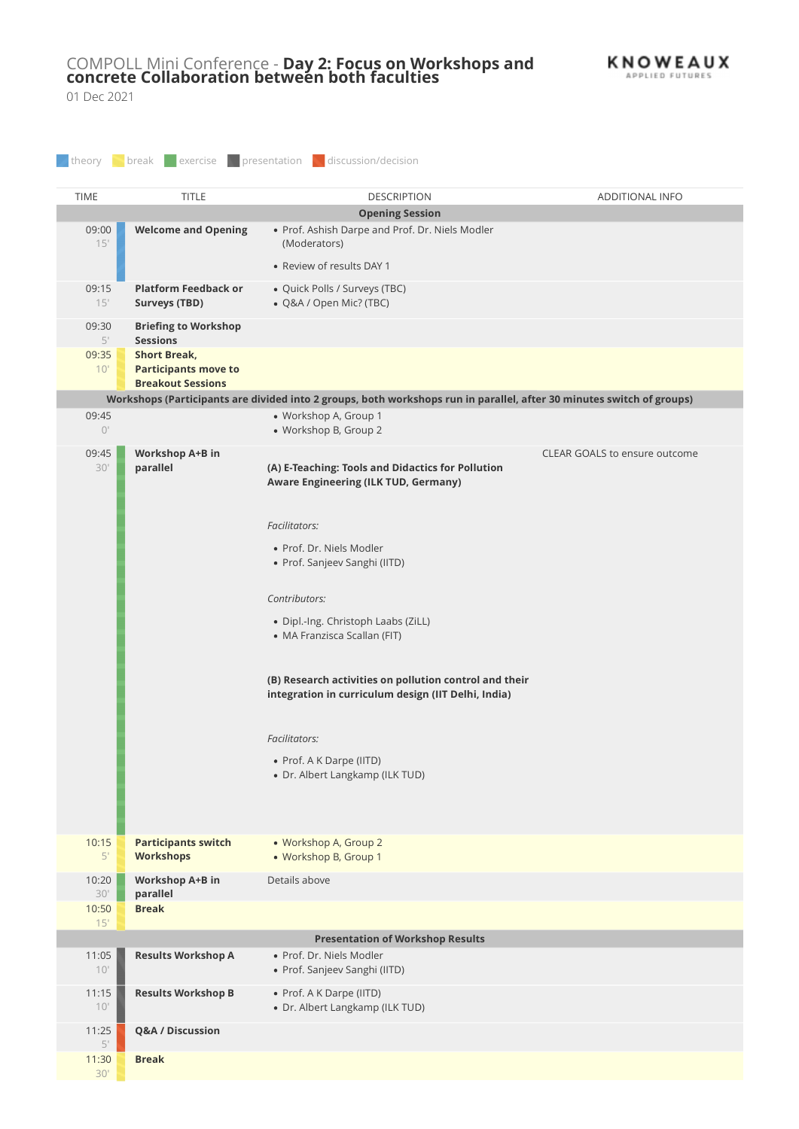## COMPOLL Mini Conference - Day 2: Focus on Workshops and **KNOWEAUX**  $\mathop{\mathsf{concrete}}\nolimits$  Collaboration between both faculties in the contraction of  $\mathbb{A}^{\mathsf{PPL}}$

|                                | 01 Dec 2021                                                           | COMPOLL Mini Conference - Day 2: Focus on Workshops and concrete Collaboration between both faculties                                                                                                                                                                                                                                                                                                                                                                   | <b>KNOWEAUX</b><br>APPLIED FUTURES |
|--------------------------------|-----------------------------------------------------------------------|-------------------------------------------------------------------------------------------------------------------------------------------------------------------------------------------------------------------------------------------------------------------------------------------------------------------------------------------------------------------------------------------------------------------------------------------------------------------------|------------------------------------|
| theory                         |                                                                       | <b>Solution</b> break exercise representation discussion/decision                                                                                                                                                                                                                                                                                                                                                                                                       |                                    |
| <b>TIME</b>                    | <b>TITLE</b>                                                          | <b>DESCRIPTION</b><br><b>Opening Session</b>                                                                                                                                                                                                                                                                                                                                                                                                                            | ADDITIONAL INFO                    |
| 09:00<br>15'                   | <b>Welcome and Opening</b>                                            | • Prof. Ashish Darpe and Prof. Dr. Niels Modler<br>(Moderators)<br>• Review of results DAY 1                                                                                                                                                                                                                                                                                                                                                                            |                                    |
| 09:15<br>15'                   | <b>Platform Feedback or</b><br><b>Surveys (TBD)</b>                   | · Quick Polls / Surveys (TBC)<br>· Q&A / Open Mic? (TBC)                                                                                                                                                                                                                                                                                                                                                                                                                |                                    |
| 09:30                          | <b>Briefing to Workshop</b>                                           |                                                                                                                                                                                                                                                                                                                                                                                                                                                                         |                                    |
| 5'<br>09:35<br>10'             | <b>Sessions</b><br><b>Short Break,</b><br><b>Participants move to</b> |                                                                                                                                                                                                                                                                                                                                                                                                                                                                         |                                    |
|                                | <b>Breakout Sessions</b>                                              |                                                                                                                                                                                                                                                                                                                                                                                                                                                                         |                                    |
|                                |                                                                       | Workshops (Participants are divided into 2 groups, both workshops run in parallel, after 30 minutes switch of groups)                                                                                                                                                                                                                                                                                                                                                   |                                    |
| 09:45<br>$\bigcirc$            |                                                                       | · Workshop A, Group 1<br>• Workshop B, Group 2                                                                                                                                                                                                                                                                                                                                                                                                                          |                                    |
| 09:45<br>$30^{\circ}$          | Workshop A+B in<br>parallel                                           | (A) E-Teaching: Tools and Didactics for Pollution<br><b>Aware Engineering (ILK TUD, Germany)</b><br>Facilitators:<br>· Prof. Dr. Niels Modler<br>• Prof. Sanjeev Sanghi (IITD)<br>Contributors:<br>· Dipl.-Ing. Christoph Laabs (ZiLL)<br>• MA Franzisca Scallan (FIT)<br>(B) Research activities on pollution control and their<br>integration in curriculum design (IIT Delhi, India)<br>Facilitators:<br>• Prof. A K Darpe (IITD)<br>• Dr. Albert Langkamp (ILK TUD) | CLEAR GOALS to ensure outcome      |
| 10:15<br>$5'$                  | <b>Participants switch</b><br><b>Workshops</b>                        | • Workshop A, Group 2<br>• Workshop B, Group 1                                                                                                                                                                                                                                                                                                                                                                                                                          |                                    |
| 10:20<br>$30^{\circ}$<br>10:50 | Workshop A+B in<br>parallel<br><b>Break</b>                           | Details above                                                                                                                                                                                                                                                                                                                                                                                                                                                           |                                    |
| 15'                            |                                                                       |                                                                                                                                                                                                                                                                                                                                                                                                                                                                         |                                    |
| 11:05                          | <b>Results Workshop A</b>                                             | <b>Presentation of Workshop Results</b><br>· Prof. Dr. Niels Modler                                                                                                                                                                                                                                                                                                                                                                                                     |                                    |
| 10'<br>11:15                   | <b>Results Workshop B</b>                                             | · Prof. Sanjeev Sanghi (IITD)<br>• Prof. A K Darpe (IITD)                                                                                                                                                                                                                                                                                                                                                                                                               |                                    |
| 10'                            |                                                                       | • Dr. Albert Langkamp (ILK TUD)                                                                                                                                                                                                                                                                                                                                                                                                                                         |                                    |
| 11:25<br>$5'$                  | Q&A / Discussion                                                      |                                                                                                                                                                                                                                                                                                                                                                                                                                                                         |                                    |
| 11:30                          | <b>Break</b>                                                          |                                                                                                                                                                                                                                                                                                                                                                                                                                                                         |                                    |